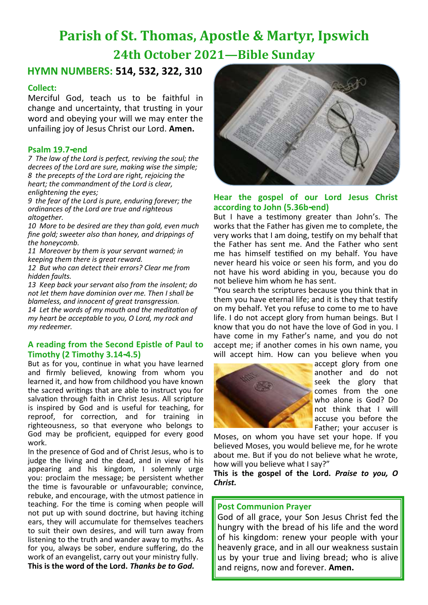# **Parish of St. Thomas, Apostle & Martyr, Ipswich 24th October 2021—Bible Sunday**

## **HYMN NUMBERS: 514, 532, 322, 310**

### **Collect:**

Merciful God, teach us to be faithful in change and uncertainty, that trusting in your word and obeying your will we may enter the unfailing joy of Jesus Christ our Lord. **Amen.**

#### **Psalm 19.7-end**

*7 The law of the Lord is perfect, reviving the soul; the decrees of the Lord are sure, making wise the simple; 8 the precepts of the Lord are right, rejoicing the heart; the commandment of the Lord is clear, enlightening the eyes;*

*9 the fear of the Lord is pure, enduring forever; the ordinances of the Lord are true and righteous altogether.*

*10 More to be desired are they than gold, even much fine gold; sweeter also than honey, and drippings of the honeycomb.*

*11 Moreover by them is your servant warned; in keeping them there is great reward.*

*12 But who can detect their errors? Clear me from hidden faults.*

*13 Keep back your servant also from the insolent; do not let them have dominion over me. Then I shall be blameless, and innocent of great transgression.*

*14 Let the words of my mouth and the meditation of my heart be acceptable to you, O Lord, my rock and my redeemer.*

#### **A reading from the Second Epistle of Paul to Timothy (2 Timothy 3.14-4.5)**

But as for you, continue in what you have learned and firmly believed, knowing from whom you learned it, and how from childhood you have known the sacred writings that are able to instruct you for salvation through faith in Christ Jesus. All scripture is inspired by God and is useful for teaching, for reproof, for correction, and for training in righteousness, so that everyone who belongs to God may be proficient, equipped for every good work.

In the presence of God and of Christ Jesus, who is to judge the living and the dead, and in view of his appearing and his kingdom, I solemnly urge you: proclaim the message; be persistent whether the time is favourable or unfavourable; convince, rebuke, and encourage, with the utmost patience in teaching. For the time is coming when people will not put up with sound doctrine, but having itching ears, they will accumulate for themselves teachers to suit their own desires, and will turn away from listening to the truth and wander away to myths. As for you, always be sober, endure suffering, do the work of an evangelist, carry out your ministry fully. **This is the word of the Lord.** *Thanks be to God.*



#### **Hear the gospel of our Lord Jesus Christ according to John (5.36b-end)**

But I have a testimony greater than John's. The works that the Father has given me to complete, the very works that I am doing, testify on my behalf that the Father has sent me. And the Father who sent me has himself testified on my behalf. You have never heard his voice or seen his form, and you do not have his word abiding in you, because you do not believe him whom he has sent.

"You search the scriptures because you think that in them you have eternal life; and it is they that testify on my behalf. Yet you refuse to come to me to have life. I do not accept glory from human beings. But I know that you do not have the love of God in you. I have come in my Father's name, and you do not accept me; if another comes in his own name, you will accept him. How can you believe when you



accept glory from one another and do not seek the glory that comes from the one who alone is God? Do not think that I will accuse you before the Father; your accuser is

Moses, on whom you have set your hope. If you believed Moses, you would believe me, for he wrote about me. But if you do not believe what he wrote, how will you believe what I say?"

**This is the gospel of the Lord.** *Praise to you, O Christ.*

#### **Post Communion Prayer**

God of all grace, your Son Jesus Christ fed the hungry with the bread of his life and the word of his kingdom: renew your people with your heavenly grace, and in all our weakness sustain us by your true and living bread; who is alive and reigns, now and forever. **Amen.**